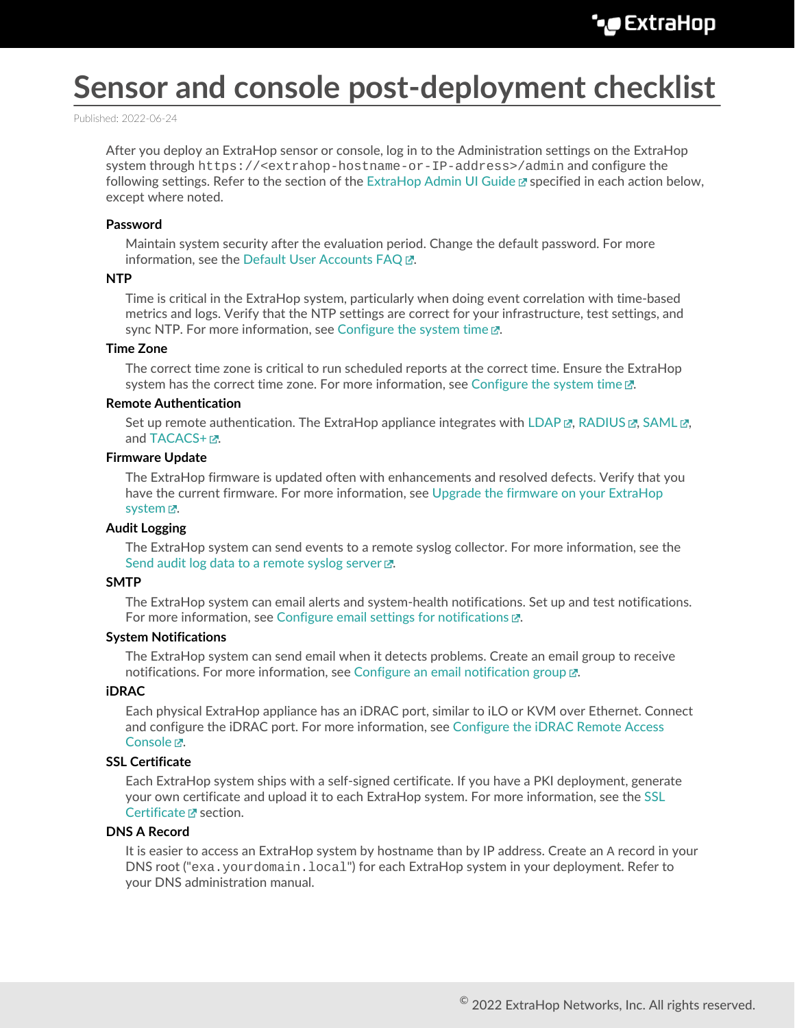# **Sensor and console post-deployment checklist**

Published: 2022-06-24

After you deploy an ExtraHop sensor or console, log in to the Administration settings on the ExtraHop system through https://<extrahop-hostname-or-IP-address>/admin and configure the following settings. Refer to the section of the [ExtraHop Admin UI Guide](https://docs.extrahop.com/8.9/eh-admin-ui-guide/) **E** specified in each action below, except where noted.

## **Password**

Maintain system security after the evaluation period. Change the default password. For more information, see the Default User Accounts FAQ  $\mathbb{R}$ .

#### **NTP**

Time is critical in the ExtraHop system, particularly when doing event correlation with time-based metrics and logs. Verify that the NTP settings are correct for your infrastructure, test settings, and sync NTP. For more information, see Configure the system time  $\mathbb{Z}$ .

## **Time Zone**

The correct time zone is critical to run scheduled reports at the correct time. Ensure the ExtraHop system has the correct time zone. For more information, see [Configure the system time](https://docs.extrahop.com/8.9/system-time)  $\mathbb{E}$ .

## **Remote Authentication**

Set up remote authentication. The ExtraHop appliance integrates with LDAP  $\alpha$ , RADIUS  $\alpha$ , SAML  $\alpha$ , and  $TACACS+ IZ$ .

# **Firmware Update**

The ExtraHop firmware is updated often with enhancements and resolved defects. Verify that you have the current firmware. For more information, see [Upgrade the firmware on your ExtraHop](https://docs.extrahop.com/8.9/firmware-upgrade/#upgrade-the-firmware-on-your-extrahop-system) [system](https://docs.extrahop.com/8.9/firmware-upgrade/#upgrade-the-firmware-on-your-extrahop-system)  $\Sigma$ .

# **Audit Logging**

The ExtraHop system can send events to a remote syslog collector. For more information, see the Send audit log data to a remote syslog server  $\mathbb{Z}$ .

# **SMTP**

The ExtraHop system can email alerts and system-health notifications. Set up and test notifications. For more information, see Configure email settings for notifications  $\mathbb{Z}$ .

## **System Notifications**

The ExtraHop system can send email when it detects problems. Create an email group to receive notifications. For more information, see Configure an email notification group  $\mathbb{E}$ .

# **iDRAC**

Each physical ExtraHop appliance has an iDRAC port, similar to iLO or KVM over Ethernet. Connect and configure the iDRAC port. For more information, see [Configure the iDRAC Remote Access](https://docs.extrahop.com/8.9/configure-i-drac/) Console <sub>.</sub>.

# **SSL Certificate**

Each ExtraHop system ships with a self-signed certificate. If you have a PKI deployment, generate your own certificate and upload it to each ExtraHop system. For more information, see the [SSL](https://docs.extrahop.com/8.9/eh-admin-ui-guide/#ssl-certificate) [Certificate](https://docs.extrahop.com/8.9/eh-admin-ui-guide/#ssl-certificate) <sub>L</sub> section.

# **DNS A Record**

It is easier to access an ExtraHop system by hostname than by IP address. Create an A record in your DNS root ("exa.yourdomain.local") for each ExtraHop system in your deployment. Refer to your DNS administration manual.